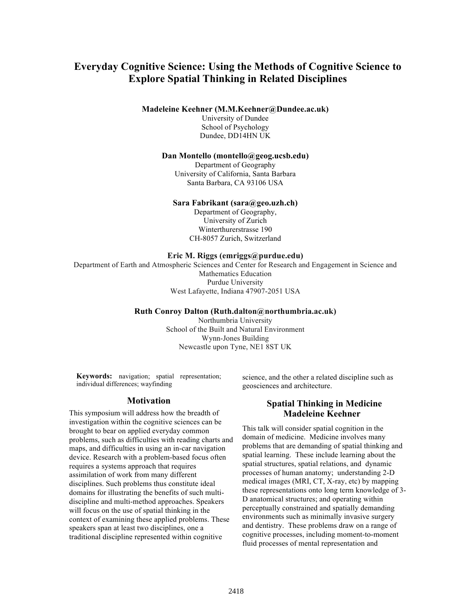# **Everyday Cognitive Science: Using the Methods of Cognitive Science to Explore Spatial Thinking in Related Disciplines**

**Madeleine Keehner (M.M.Keehner@Dundee.ac.uk)**

University of Dundee School of Psychology Dundee, DD14HN UK

#### **Dan Montello (montello@geog.ucsb.edu)**

Department of Geography University of California, Santa Barbara Santa Barbara, CA 93106 USA

#### **Sara Fabrikant (sara@geo.uzh.ch)**

Department of Geography, University of Zurich Winterthurerstrasse 190 CH-8057 Zurich, Switzerland

#### **Eric M. Riggs (emriggs@purdue.edu)**

Department of Earth and Atmospheric Sciences and Center for Research and Engagement in Science and Mathematics Education Purdue University West Lafayette, Indiana 47907-2051 USA

### **Ruth Conroy Dalton (Ruth.dalton@northumbria.ac.uk)**

Northumbria University School of the Built and Natural Environment Wynn-Jones Building Newcastle upon Tyne, NE1 8ST UK

**Keywords:** navigation; spatial representation; individual differences; wayfinding

### **Motivation**

This symposium will address how the breadth of investigation within the cognitive sciences can be brought to bear on applied everyday common problems, such as difficulties with reading charts and maps, and difficulties in using an in-car navigation device. Research with a problem-based focus often requires a systems approach that requires assimilation of work from many different disciplines. Such problems thus constitute ideal domains for illustrating the benefits of such multidiscipline and multi-method approaches. Speakers will focus on the use of spatial thinking in the context of examining these applied problems. These speakers span at least two disciplines, one a traditional discipline represented within cognitive

science, and the other a related discipline such as geosciences and architecture.

### **Spatial Thinking in Medicine Madeleine Keehner**

This talk will consider spatial cognition in the domain of medicine. Medicine involves many problems that are demanding of spatial thinking and spatial learning. These include learning about the spatial structures, spatial relations, and dynamic processes of human anatomy; understanding 2-D medical images (MRI, CT, X-ray, etc) by mapping these representations onto long term knowledge of 3- D anatomical structures; and operating within perceptually constrained and spatially demanding environments such as minimally invasive surgery and dentistry. These problems draw on a range of cognitive processes, including moment-to-moment fluid processes of mental representation and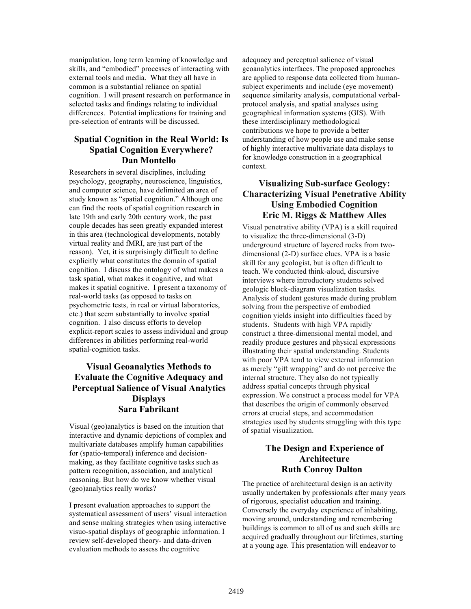manipulation, long term learning of knowledge and skills, and "embodied" processes of interacting with external tools and media. What they all have in common is a substantial reliance on spatial cognition. I will present research on performance in selected tasks and findings relating to individual differences. Potential implications for training and pre-selection of entrants will be discussed.

## **Spatial Cognition in the Real World: Is Spatial Cognition Everywhere? Dan Montello**

Researchers in several disciplines, including psychology, geography, neuroscience, linguistics, and computer science, have delimited an area of study known as "spatial cognition." Although one can find the roots of spatial cognition research in late 19th and early 20th century work, the past couple decades has seen greatly expanded interest in this area (technological developments, notably virtual reality and fMRI, are just part of the reason). Yet, it is surprisingly difficult to define explicitly what constitutes the domain of spatial cognition. I discuss the ontology of what makes a task spatial, what makes it cognitive, and what makes it spatial cognitive. I present a taxonomy of real-world tasks (as opposed to tasks on psychometric tests, in real or virtual laboratories, etc.) that seem substantially to involve spatial cognition. I also discuss efforts to develop explicit-report scales to assess individual and group differences in abilities performing real-world spatial-cognition tasks.

## **Visual Geoanalytics Methods to Evaluate the Cognitive Adequacy and Perceptual Salience of Visual Analytics Displays Sara Fabrikant**

Visual (geo)analytics is based on the intuition that interactive and dynamic depictions of complex and multivariate databases amplify human capabilities for (spatio-temporal) inference and decisionmaking, as they facilitate cognitive tasks such as pattern recognition, association, and analytical reasoning. But how do we know whether visual (geo)analytics really works?

I present evaluation approaches to support the systematical assessment of users' visual interaction and sense making strategies when using interactive visuo-spatial displays of geographic information. I review self-developed theory- and data-driven evaluation methods to assess the cognitive

adequacy and perceptual salience of visual geoanalytics interfaces. The proposed approaches are applied to response data collected from humansubject experiments and include (eye movement) sequence similarity analysis, computational verbalprotocol analysis, and spatial analyses using geographical information systems (GIS). With these interdisciplinary methodological contributions we hope to provide a better understanding of how people use and make sense of highly interactive multivariate data displays to for knowledge construction in a geographical context.

## **Visualizing Sub-surface Geology: Characterizing Visual Penetrative Ability Using Embodied Cognition Eric M. Riggs & Matthew Alles**

Visual penetrative ability (VPA) is a skill required to visualize the three-dimensional (3-D) underground structure of layered rocks from twodimensional (2-D) surface clues. VPA is a basic skill for any geologist, but is often difficult to teach. We conducted think-aloud, discursive interviews where introductory students solved geologic block-diagram visualization tasks. Analysis of student gestures made during problem solving from the perspective of embodied cognition yields insight into difficulties faced by students. Students with high VPA rapidly construct a three-dimensional mental model, and readily produce gestures and physical expressions illustrating their spatial understanding. Students with poor VPA tend to view external information as merely "gift wrapping" and do not perceive the internal structure. They also do not typically address spatial concepts through physical expression. We construct a process model for VPA that describes the origin of commonly observed errors at crucial steps, and accommodation strategies used by students struggling with this type of spatial visualization.

## **The Design and Experience of Architecture Ruth Conroy Dalton**

The practice of architectural design is an activity usually undertaken by professionals after many years of rigorous, specialist education and training. Conversely the everyday experience of inhabiting, moving around, understanding and remembering buildings is common to all of us and such skills are acquired gradually throughout our lifetimes, starting at a young age. This presentation will endeavor to